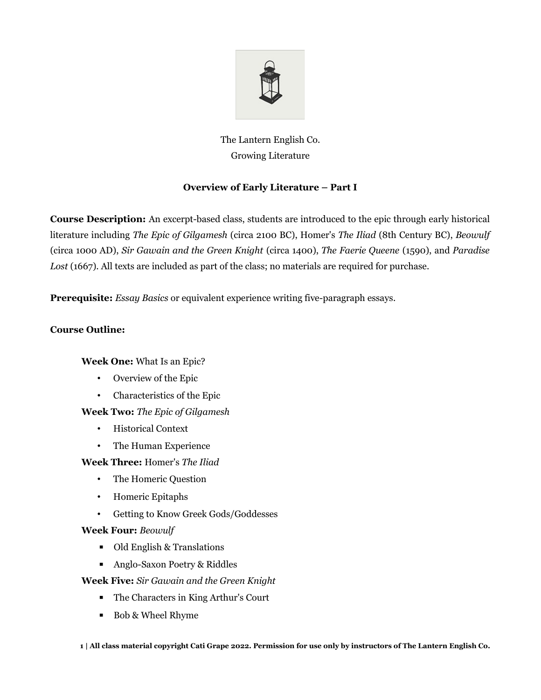

## The Lantern English Co. Growing Literature

## **Overview of Early Literature – Part I**

**Course Description:** An excerpt-based class, students are introduced to the epic through early historical literature including *The Epic of Gilgamesh* (circa 2100 BC), Homer's *The Iliad* (8th Century BC), *Beowulf* (circa 1000 AD), *Sir Gawain and the Green Knight* (circa 1400), *The Faerie Queene* (1590), and *Paradise* Lost (1667). All texts are included as part of the class; no materials are required for purchase.

**Prerequisite:** *Essay Basics* or equivalent experience writing five-paragraph essays.

## **Course Outline:**

**Week One:** What Is an Epic?

- Overview of the Epic
- Characteristics of the Epic
- **Week Two:** *The Epic of Gilgamesh*
	- Historical Context
	- The Human Experience

**Week Three:** Homer's *The Iliad*

- The Homeric Question
- Homeric Epitaphs
- Getting to Know Greek Gods/Goddesses

## **Week Four:** *Beowulf*

- Old English & Translations
- Anglo-Saxon Poetry & Riddles

**Week Five:** *Sir Gawain and the Green Knight*

- The Characters in King Arthur's Court
- Bob & Wheel Rhyme

**1 | All class material copyright Cati Grape 2022. Permission for use only by instructors of The Lantern English Co.**